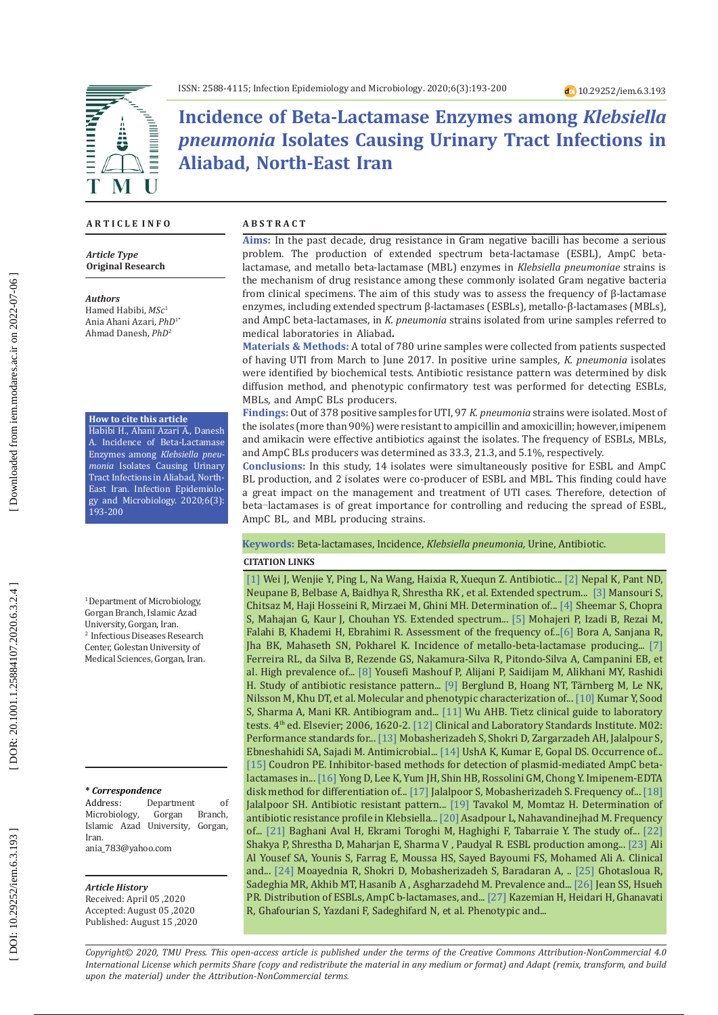# **Incidence of Beta-Lactamase Enzymes among** *Klebsiella pneumonia* **Isolates Causing Urinary Tract Infections in Aliabad, North-East Iran**

### **A R T I C L E I N F O**

*Article Type* **Original Research**

#### *Authors*

Hamed Habibi, *MSc* 1 Ania Ahani Azari, *PhD*1\* Ahmad Danesh, *PhD* 2

#### **How to cite this article**

Habibi H., Ahani Azari A., Danesh A. Incidence of Beta-Lactamase Enzymes among *Klebsiella pneu monia* Isolates Causing Urinary Tract Infections in Aliabad, North-East Iran. Infection Epidemiology and Microbiology. 2020;6(3): 193-200

<sup>1</sup> Department of Microbiology, Gorgan Branch, Islamic Azad University, Gorgan, Iran. 2 Infectious Diseases Research Center, Golestan University of Medical Sciences, Gorgan, Iran.

#### **\*** *Correspondence*

Address: Department of<br>Microbiology, Gorgan Branch, Microbiology, Islamic Azad University, Gorgan, Iran. ania\_783@yahoo.com

#### *Article History*

Received: April 05 ,2020 Accepted: August 05 ,2020 Published: August 15 ,2020

#### **A B S T R A C T**

**Aims:** In the past decade, drug resistance in Gram negative bacilli has become a serious problem. The production of extended spectrum beta-lactamase (ESBL), AmpC betalactamase, and metallo beta-lactamase (MBL) enzymes in *Klebsiella pneumoniae* strains is the mechanism of drug resistance among these commonly isolated Gram negative bacteria from clinical specimens. The aim of this study was to assess the frequency of β-lactamase enzymes, including extended spectrum β-lactamases (ESBLs), metallo-β-lactamases (MBLs), and AmpC beta-lactamases, in *K. pneumonia* strains isolated from urine samples referred to medical laboratories in Aliabad **.**

**Materials & Methods:** A total of 780 urine samples were collected from patients suspected of having UTI from March to June 2017. In positive urine samples, *K. pneumonia* isolates were identified by biochemical tests. Antibiotic resistance pattern was determined by disk diffusion method, and phenotypic confirmatory test was performed for detecting ESBLs, MBLs, and AmpC BLs producers.

**Findings:** Out of 378 positive samples for UTI, 97 *K. pneumonia* strains were isolated. Most of the isolates (more than 90%) were resistant to ampicillin and amoxicillin; however, imipenem and amikacin were effective antibiotics against the isolates. The frequency of ESBLs, MBLs, and AmpC BLs producers was determined as 33.3, 21.3, and 5.1%, respectively.

**Conclusions:** In this study, 14 isolates were simultaneously positive for ESBL and AmpC BL production, and 2 isolates were co-producer of ESBL and MBL. This finding could have a great impact on the management and treatment of UTI cases. Therefore, detection of beta ‑lactamases is of great importance for controlling and reducing the spread of ESBL, AmpC BL, and MBL producing strains.

## **Keywords:** Beta-lactamases, Incidence, *Klebsiella pneumonia,* Urine, Antibiotic .

#### **CITATION LINKS**

[\[1\]](https://www.spandidos-publications.com/etm/15/3/2247) Wei J, Wenjie Y, Ping L, Na Wang, Haixia R, Xuequn Z. Antibiotic... [\[2\]](https://link.springer.com/article/10.1186/s12941-017-0236-7) Nepal K, Pant ND, Neupane B, Belbase A, Baidhya R, Shrestha RK , et al. Extended spectrum... [\[3\]](https://www.sid.ir/en/journal/ViewPaper.aspx?id=161797) Mansouri S, Chitsaz M, Haji Hosseini R, Mirzaei M, Ghini MH. Determination of... [\[4\]](http://www.tjmrjournal.org/tocd.asp?2016/19/2/114/185431/3) Sheemar S, Chopra S, Mahajan G, Kaur J, Chouhan YS. Extended spectrum... [\[5\]](http://jarums.arums.ac.ir/browse.php?a_id=198&sid=1&slc_lang=en) Mohajeri P, Izadi B, Rezai M, Falahi B, Khademi H, Ebrahimi R. Assessment of the frequency of...[\[6\]](https://bmcresnotes.biomedcentral.com/articles/10.1186/1756-0500-7-557) Bora A, Sanjana R, Jha BK, Mahaseth SN, Pokharel K. Incidence of metallo-beta-lactamase producing... [\[7\]](https://www.frontiersin.org/articles/10.3389/fmicb.2018.03198/full) Ferreira RL, da Silva B , Rezende GS, Nakamura-Silva R , Pitondo-Silva A, Campanini EB, et al. High prevalence of... [\[8\]](https://www.sid.ir/en/Journal/ViewPaper.aspx?ID=347196) Yousefi Mashouf P, Alijani P, Saidijam M, Alikhani MY, Rashidi H. Study of antibiotic resistance pattern... [\[9\]](https://link.springer.com/article/10.1186/s13756-019-0613-4) Berglund B, Hoang NT, Tärnberg M, Le NK, Nilsson M, Khu DT, et al. Molecular and phenotypic characterization of... [\[10\]](http://www.jidc.org/index.php/journal/article/view/23857385) Kumar Y, Sood S, Sharma A, Mani KR. Antibiogram and... [\[11\]](https://www.elsevier.com/books/tietz-clinical-guide-to-laboratory-tests/wu/978-0-7216-7975-4) Wu AHB. Tietz clinical guide to laboratory tests. 4<sup>th</sup> ed. Elsevier; 2006, 1620-2. [\[12\]](https://clsi.org/media/1925/m02ed13_sample.pdf) Clinical and Laboratory Standards Institute. M02: Performance standards for... [\[13\]](https://academicjournals.org/journal/AJMR/article-abstract/9E254AE13102) Mobasherizadeh S, Shokri D, Zargarzadeh AH, Jalalpour S , Ebneshahidi SA, Sajadi M. Antimicrobial... [\[14\]](https://www.researchgate.net/profile/E_Kumar/publication/286615236_Occurrence_of_various_beta-lactamase_producing_Gram_negative_bacilli_in_the_hospital_effluent/links/59c9db7baca272bb0503e3dc/Occurrence-of-various-beta-lactamase-producing-Gram-negative-ba\
cilli-in-the-hospital-effluent.pdf) UshA K, Kumar E, Gopal DS. Occurrence of... [\[15\]](https://jcm.asm.org/content/43/8/4163.short) Coudron PE. Inhibitor-based methods for detection of plasmid-mediated AmpC betalactamases in... [\[16\]](https://jcm.asm.org/content/40/10/3798.short) Yong D, Lee K, Yum JH, Shin HB, Rossolini GM, Chong Y. Imipenem-EDTA disk method for differentiation of... [\[17\]](http://jmw.jia.ac.ir/article_631229_6ad46d7c8bf07d26e42066783843c7d7.pdf) Jalalpoor S, Mobasherizadeh S. Frequency of... [\[18\]](http://search.ebscohost.com/login.aspx?direct=true&profile=ehost&scope=site&authtype=crawler&jrnl=10277595&asa=Y&AN=77940706&h=tz1ws6WDgxw%2BXe51rO2feX2y4L1zttmIbaSWuDe8vQo67u28xWrfPR15lg8CnBpndInsk5Mx4DI%2F83IiCb2RQA%3D%3D&crl=c) Jalalpoor SH. Antibiotic resistant pattern... [\[19\]](http://feyz.kaums.ac.ir/browse.php?a_code=A-10-176-1330&slc_lang=en&sid=1) Tavakol M, Momtaz H. Determination of antibiotic resistance profile in Klebsiella... [\[20\]](http://sjimu.medilam.ac.ir/article-1-3527-en.pdf) Asadpour L, Nahavandinejhad M. Frequency of... [\[21\]](http://jsums.medsab.ac.ir/article_1118_en.html) Baghani Aval H, Ekrami Toroghi M, Haghighi F, Tabarraie Y. The study of... [\[22\]](https://www.ncbi.nlm.nih.gov/pmc/articles/pmc5427687/) Shakya P, Shrestha D, Maharjan E, Sharma V , Paudyal R. ESBL production among... [\[23\]](http://www.annclinlabsci.org/content/46/4/393.short) Ali Al Yousef SA, Younis S, Farrag E, Moussa HS, Sayed Bayoumi FS, Mohamed Ali A. Clinical and... [\[24\] M](https://www.ncbi.nlm.nih.gov/pmc/articles/PMC4078376/)oayednia R, Shokri D, Mobasherizadeh S, Baradaran A, .. [\[25\]](https://www.ncbi.nlm.nih.gov/pmc/articles/pmc5958327/) Ghotasloua R, Sadeghia MR, Akhib MT, Hasanib A , Asgharzadehd M. Prevalence and... [\[26\]](https://pubmed.ncbi.nlm.nih.gov/27703058/) Jean SS, Hsueh PR. Distribution of ESBLs, AmpC b-lactamases, and... [\[27\]](https://www.karger.com/Article/Abstract/500311) Kazemian H, Heidari H, Ghanavati R, Ghafourian S, Yazdani F, Sadeghifard N, et al. Phenotypic and...

*Copyright© 2020, TMU Press. This open-access article is published under the terms of the Creative Commons Attribution-NonCommercial 4.0 International License which permits Share (copy and redistribute the material in any medium or format) and Adapt (remix, transform, and build upon the material) under the Attribution-NonCommercial terms.*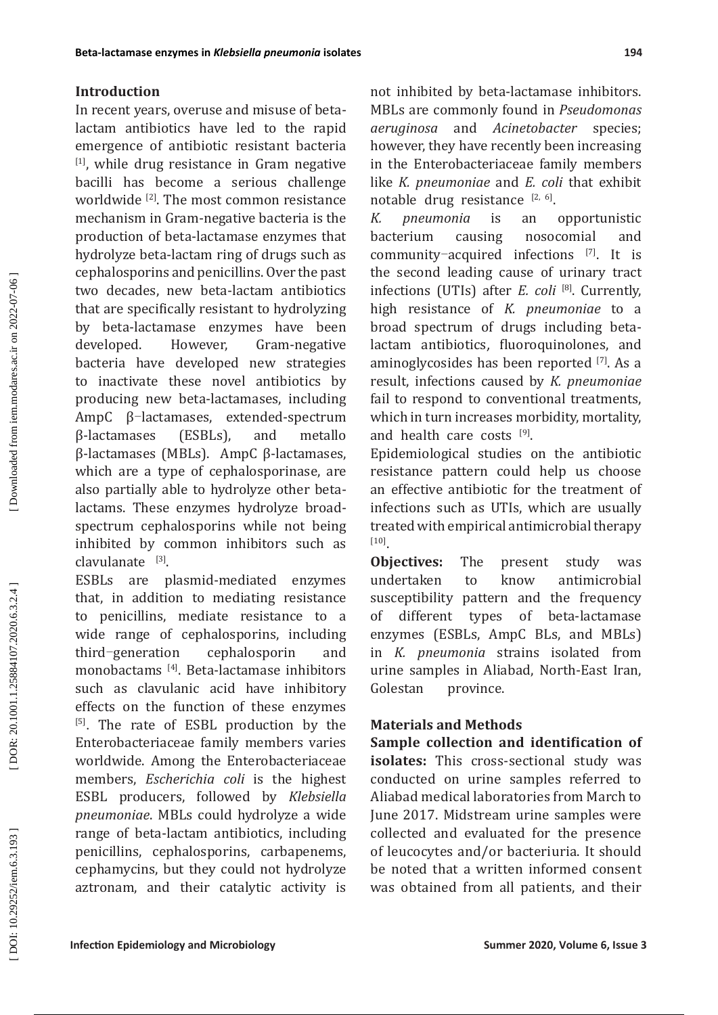## **Introduction**

In recent years, overuse and misuse of betalactam antibiotics have led to the rapid emergence of antibiotic resistant bacteria  $[1]$ , while drug resistance in Gram negative bacilli has become a serious challenge worldwide <sup>[2]</sup>. The most common resistance mechanism in Gram-negative bacteria is the production of beta-lactamase enzymes that hydrolyze beta-lactam ring of drugs such as cephalosporins and penicillins. Over the past two decades, new beta-lactam antibiotics that are specifically resistant to hydrolyzing by beta-lactamase enzymes have been developed. However, Gram-negative bacteria have developed new strategies to inactivate these novel antibiotics by producing new beta-lactamases, including AmpC β-lactamases, extended-spectrum β-lactamases (ESBLs), and metallo β-lactamases (MBLs). AmpC β-lactamases, which are a type of cephalosporinase, are also partially able to hydrolyze other betalactams. These enzymes hydrolyze broadspectrum cephalosporins while not being inhibited by common inhibitors such as  $clavulanate$ <sup>[3]</sup>.

ESBLs are plasmid-mediated enzymes that, in addition to mediating resistance to penicillins, mediate resistance to a wide range of cephalosporins, including third-generation cephalosporin and monobactams [4]. Beta-lactamase inhibitors such as clavulanic acid have inhibitory effects on the function of these enzymes [5] . The rate of ESBL production by the Enterobacteriaceae family members varies worldwide. Among the Enterobacteriaceae members, *Escherichia coli* is the highest ESBL producers, followed by *Klebsiella pneumoniae*. MBLs could hydrolyze a wide range of beta-lactam antibiotics, including penicillins, cephalosporins, carbapenems, cephamycins, but they could not hydrolyze aztronam, and their catalytic activity is

not inhibited by beta-lactamase inhibitors. MBLs are commonly found in *Pseudomonas aeruginosa* and *Acinetobacter* species; however, they have recently been increasing in the Enterobacteriaceae family members like *K. pneumoniae* and *E. coli* that exhibit notable drug resistance  $[2, 6]$ .

*K. pneumonia* is an opportunistic bacterium causing nosocomial and community-acquired infections [7]. It is the second leading cause of urinary tract infections (UTIs) after *E. coli* [8] . Currently, high resistance of *K. pneumoniae* to a broad spectrum of drugs including betalactam antibiotics, fluoroquinolones, and aminoglycosides has been reported [7]. As a result, infections caused by *K. pneumoniae* fail to respond to conventional treatments, which in turn increases morbidity, mortality, and health care costs [9].

Epidemiological studies on the antibiotic resistance pattern could help us choose an effective antibiotic for the treatment of infections such as UTIs, which are usually treated with empirical antimicrobial therapy [10].

**Objectives:** The present study was undertaken to know antimicrobial to know antimicrobial susceptibility pattern and the frequency of different types of beta-lactamase enzymes (ESBLs, AmpC BLs, and MBLs) in *K. pneumonia* strains isolated from urine samples in Aliabad, North-East Iran, Golestan province.

## **Materials and Methods**

**Sample collection and identification of isolates:** This cross-sectional study was conducted on urine samples referred to Aliabad medical laboratories from March to June 2017. Midstream urine samples were collected and evaluated for the presence of leucocytes and/or bacteriuria. It should be noted that a written informed consent was obtained from all patients, and their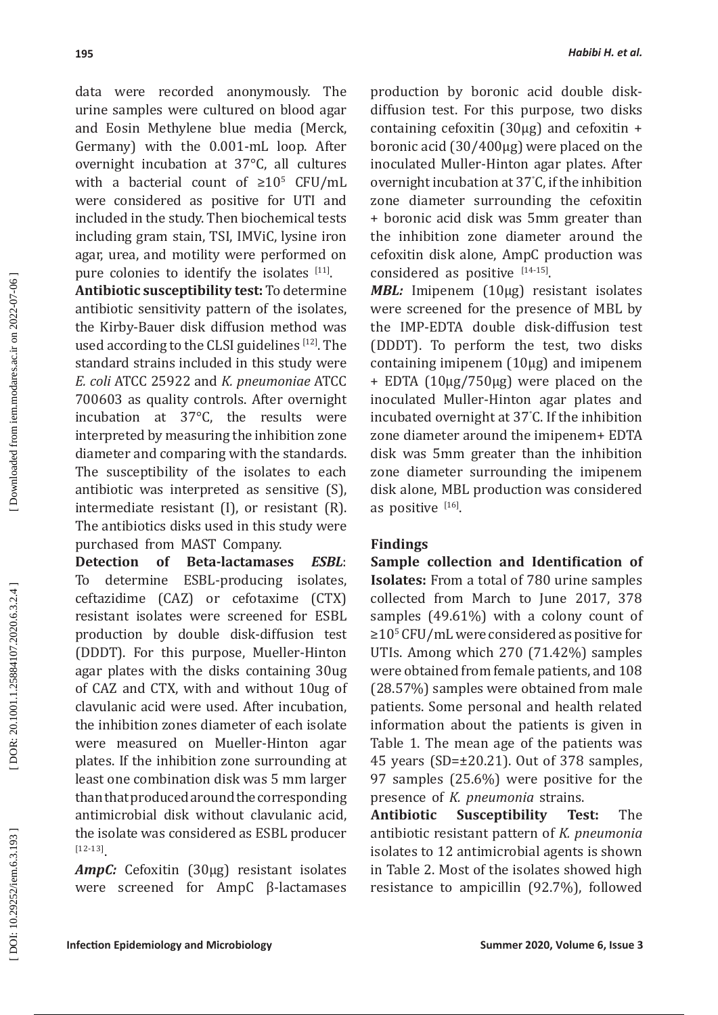data were recorded anonymously. The urine samples were cultured on blood agar and Eosin Methylene blue media (Merck, Germany) with the 0.001-mL loop. After overnight incubation at 37°C, all cultures with a bacterial count of  $\geq 10^5$  CFU/mL were considered as positive for UTI and included in the study. Then biochemical tests including gram stain, TSI, IMViC, lysine iron agar, urea, and motility were performed on pure colonies to identify the isolates  $[11]$ .

**Antibiotic susceptibility test:** To determine antibiotic sensitivity pattern of the isolates, the Kirby-Bauer disk diffusion method was used according to the CLSI guidelines [12]. The standard strains included in this study were *E. coli* ATCC 25922 and *K. pneumoniae* ATCC 700603 as quality controls. After overnight incubation at 37°C, the results were interpreted by measuring the inhibition zone diameter and comparing with the standards. The susceptibility of the isolates to each antibiotic was interpreted as sensitive (S), intermediate resistant (I), or resistant (R). The antibiotics disks used in this study were purchased from MAST Company.<br>**Detection of Beta-lactamas** 

**Detection of Beta-lactamases** *ESBL*: To determine ESBL-producing isolates, ceftazidime (CAZ) or cefotaxime (CTX) resistant isolates were screened for ESBL production by double disk-diffusion test (DDDT). For this purpose, Mueller-Hinton agar plates with the disks containing 30ug of CAZ and CTX, with and without 10ug of clavulanic acid were used. After incubation, the inhibition zones diameter of each isolate were measured on Mueller-Hinton agar plates. If the inhibition zone surrounding at least one combination disk was 5 mm larger than that produced around the corresponding antimicrobial disk without clavulanic acid, the isolate was considered as ESBL producer [12-13] .

*AmpC:* Cefoxitin (30μg) resistant isolates were screened for AmpC β-lactamases production by boronic acid double diskdiffusion test. For this purpose, two disks containing cefoxitin (30μg) and cefoxitin + boronic acid (30/400μg) were placed on the inoculated Muller-Hinton agar plates. After overnight incubation at 37 ° C, if the inhibition zone diameter surrounding the cefoxitin + boronic acid disk was 5mm greater than the inhibition zone diameter around the cefoxitin disk alone, AmpC production was considered as positive  $[14-15]$ .

**MBL:** Imipenem (10μg) resistant isolates were screened for the presence of MBL by the IMP-EDTA double disk-diffusion test (DDDT). To perform the test, two disks containing imipenem (10μg) and imipenem + EDTA (10μg/750μg) were placed on the inoculated Muller-Hinton agar plates and incubated overnight at 37 ° C. If the inhibition zone diameter around the imipenem+ EDTA disk was 5mm greater than the inhibition zone diameter surrounding the imipenem disk alone, MBL production was considered as positive  $[16]$ .

## **Findings**

**Sample collection and Identification of Isolates:** From a total of 780 urine samples collected from March to June 2017, 378 samples (49.61%) with a colony count of ≥10 5 CFU/mL were considered as positive for UTIs. Among which 270 (71.42%) samples were obtained from female patients, and 108 (28.57%) samples were obtained from male patients. Some personal and health related information about the patients is given in Table 1. The mean age of the patients was 45 years (SD=±20.21). Out of 378 samples, 97 samples (25.6%) were positive for the presence of *K. pneumonia* strains.

**Antibiotic Susceptibility Test:** The antibiotic resistant pattern of *K. pneumonia*  isolates to 12 antimicrobial agents is shown in Table 2. Most of the isolates showed high resistance to ampicillin (92.7%), followed

DOI: 10.29252/iem.6.3.193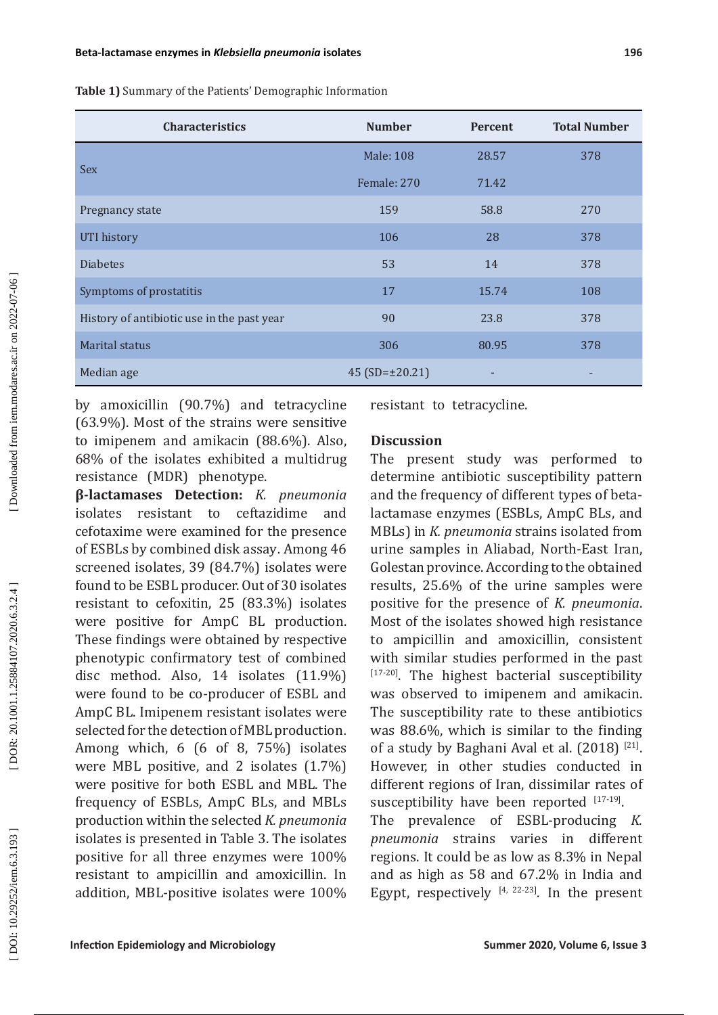**Table 1)** Summary of the Patients' Demographic Information

| <b>Characteristics</b>                     | <b>Number</b>       | <b>Percent</b> | <b>Total Number</b> |
|--------------------------------------------|---------------------|----------------|---------------------|
|                                            | <b>Male: 108</b>    | 28.57          | 378                 |
| <b>Sex</b>                                 | Female: 270         | 71.42          |                     |
| Pregnancy state                            | 159                 | 58.8           | 270                 |
| UTI history                                | 106                 | 28             | 378                 |
| <b>Diabetes</b>                            | 53                  | 14             | 378                 |
| Symptoms of prostatitis                    | 17                  | 15.74          | 108                 |
| History of antibiotic use in the past year | 90                  | 23.8           | 378                 |
| <b>Marital status</b>                      | 306                 | 80.95          | 378                 |
| Median age                                 | 45 $(SD=\pm 20.21)$ | ٠              | ٠                   |

by amoxicillin (90.7%) and tetracycline (63.9%). Most of the strains were sensitive to imipenem and amikacin (88.6%). Also, 68% of the isolates exhibited a multidrug resistance (MDR) phenotype.

**β-lactamases Detection:** *K. pneumonia* isolates resistant to ceftazidime and cefotaxime were examined for the presence of ESBLs by combined disk assay . Among 46 screened isolates, 39 (84.7%) isolates were found to be ESBL producer. Out of 30 isolates resistant to cefoxitin, 25 (83.3%) isolates were positive for AmpC BL production. These findings were obtained by respective phenotypic confirmatory test of combined disc method. Also, 14 isolates (11.9%) were found to be co-producer of ESBL and AmpC BL. Imipenem resistant isolates were selected for the detection of MBL production . Among which, 6 (6 of 8, 75%) isolates were MBL positive, and 2 isolates (1.7%) were positive for both ESBL and MBL. The frequency of ESBLs, AmpC BLs, and MBLs production within the selected *K. pneumonia* isolates is presented in Table 3. The isolates positive for all three enzymes were 100% resistant to ampicillin and amoxicillin. In addition, MBL-positive isolates were 100%

resistant to tetracycline.

## **Discussion**

The present study was performed to determine antibiotic susceptibility pattern and the frequency of different types of betalactamase enzymes (ESBLs, AmpC BLs, and MBLs) in *K. pneumonia* strains isolated from urine samples in Aliabad, North-East Iran, Golestan province. According to the obtained results, 25.6% of the urine samples were positive for the presence of *K. pneumonia*. Most of the isolates showed high resistance to ampicillin and amoxicillin, consistent with similar studies performed in the past [17-20]. The highest bacterial susceptibility was observed to imipenem and amikacin. The susceptibility rate to these antibiotics was 88.6%, which is similar to the finding of a study by Baghani Aval et al. (2018) [21]. However, in other studies conducted in different regions of Iran, dissimilar rates of susceptibility have been reported  $[17-19]$ . The prevalence of ESBL-producing *K. pneumonia* strains varies in different regions. It could be as low as 8.3% in Nepal

and as high as 58 and 67.2% in India and Egypt, respectively [4, 22-23]. In the present

DOI: 10.29252/iem.6.3.193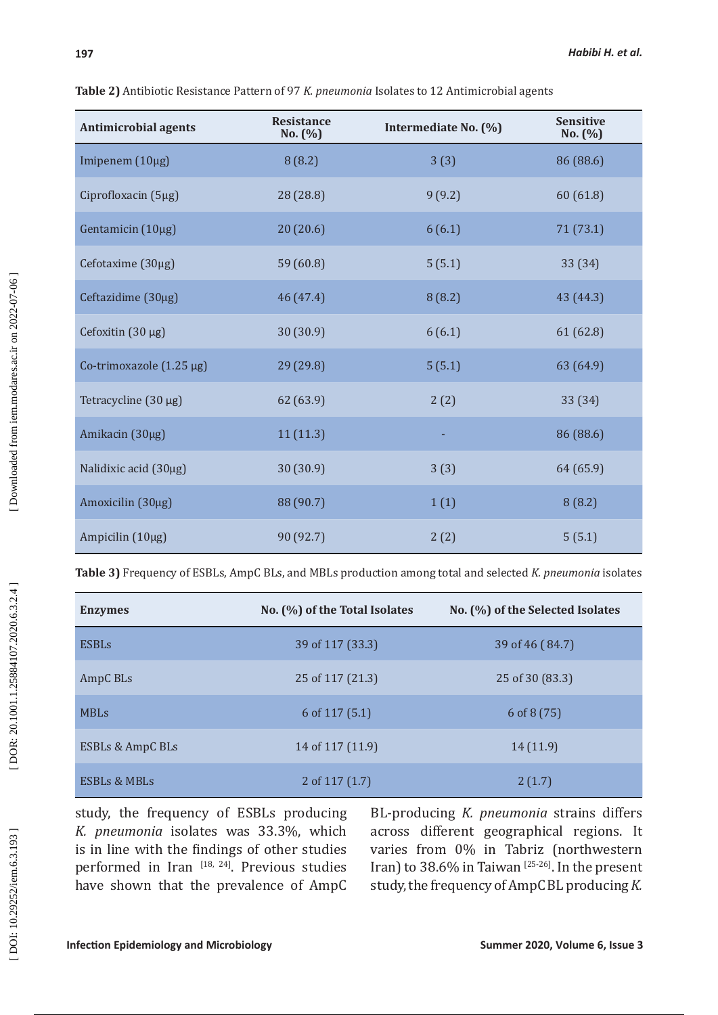| <b>Antimicrobial agents</b> | <b>Resistance</b><br>No. (%) | Intermediate No. (%) | <b>Sensitive</b><br>No. (%) |
|-----------------------------|------------------------------|----------------------|-----------------------------|
| Imipenem (10µg)             | 8(8.2)                       | 3(3)                 | 86 (88.6)                   |
| Ciprofloxacin (5µg)         | 28 (28.8)                    | 9(9.2)               | 60 (61.8)                   |
| Gentamicin (10µg)           | 20(20.6)                     | 6(6.1)               | 71 (73.1)                   |
| Cefotaxime (30µg)           | 59 (60.8)                    | 5(5.1)               | 33 (34)                     |
| Ceftazidime (30µg)          | 46 (47.4)                    | 8(8.2)               | 43 (44.3)                   |
| Cefoxitin $(30 \mu g)$      | 30(30.9)                     | 6(6.1)               | 61 (62.8)                   |
| Co-trimoxazole (1.25 µg)    | 29 (29.8)                    | 5(5.1)               | 63 (64.9)                   |
| Tetracycline (30 µg)        | 62 (63.9)                    | 2(2)                 | 33 (34)                     |
| Amikacin (30µg)             | 11(11.3)                     | ٠                    | 86 (88.6)                   |
| Nalidixic acid (30µg)       | 30 (30.9)                    | 3(3)                 | 64 (65.9)                   |
| Amoxicilin (30µg)           | 88 (90.7)                    | 1(1)                 | 8(8.2)                      |
| Ampicilin (10µg)            | 90 (92.7)                    | 2(2)                 | 5(5.1)                      |

**Table 2)** Antibiotic Resistance Pattern of 97 *K. pneumonia* Isolates to 12 Antimicrobial agents

**Table 3)** Frequency of ESBLs, AmpC BLs, and MBLs production among total and selected *K. pneumonia* isolates

| <b>Enzymes</b>          | No. (%) of the Total Isolates | No. (%) of the Selected Isolates |
|-------------------------|-------------------------------|----------------------------------|
| <b>ESBLs</b>            | 39 of 117 (33.3)              | 39 of 46 (84.7)                  |
| AmpC BLs                | 25 of 117 (21.3)              | 25 of 30 (83.3)                  |
| <b>MBLs</b>             | 6 of $117(5.1)$               | 6 of $8(75)$                     |
| ESBLs & AmpC BLs        | 14 of 117 (11.9)              | 14(11.9)                         |
| <b>ESBLs &amp; MBLs</b> | 2 of $117(1.7)$               | 2(1.7)                           |

study, the frequency of ESBLs producing *K. pneumonia* isolates was 33.3%, which is in line with the findings of other studies performed in Iran [18, 24]. Previous studies have shown that the prevalence of AmpC BL-producing *K. pneumonia* strains differs across different geographical regions. It varies from 0% in Tabriz (northwestern Iran) to 38.6% in Taiwan<sup>[25-26]</sup>. In the present study, the frequency of AmpC BL producing *K.*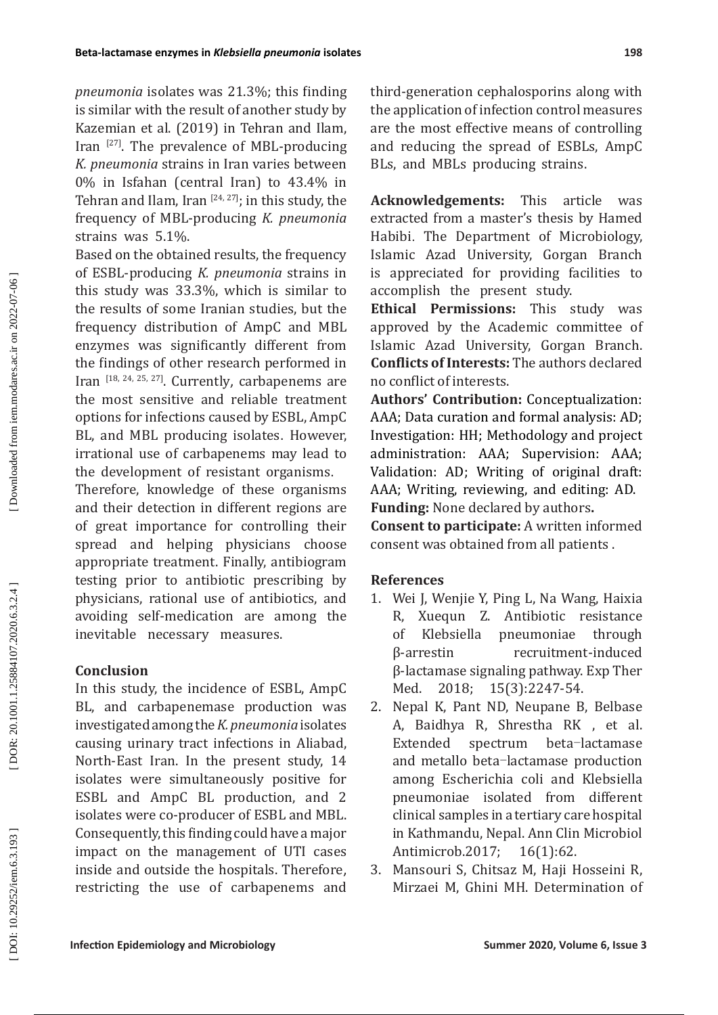*pneumonia* isolates was 21.3%; this finding is similar with the result of another study by Kazemian et al. (2019) in Tehran and Ilam, Iran [27]. The prevalence of MBL-producing *K. pneumonia* strains in Iran varies between 0% in Isfahan (central Iran) to 43.4% in Tehran and Ilam, Iran  $[24, 27]$ ; in this study, the frequency of MBL-producing *K. pneumonia* strains was 5.1%.

Based on the obtained results, the frequency of ESBL-producing *K. pneumonia* strains in this study was 33.3%, which is similar to the results of some Iranian studies, but the frequency distribution of AmpC and MBL enzymes was significantly different from the findings of other research performed in Iran [18, 24, 25, 27]. Currently , carbapenems are the most sensitive and reliable treatment options for infections caused by ESBL, AmpC BL, and MBL producing isolates . However, irrational use of carbapenems may lead to the development of resistant organisms .

Therefore, knowledge of these organisms and their detection in different regions are of great importance for controlling their spread and helping physicians choose appropriate treatment. Finally, antibiogram testing prior to antibiotic prescribing by physicians, rational use of antibiotics, and avoiding self-medication are among the inevitable necessary measures.

# **Conclusion**

In this study, the incidence of ESBL, AmpC BL, and carbapenemase production was investigated among the *K. pneumonia* isolates causing urinary tract infections in Aliabad, North-East Iran. In the present study, 14 isolates were simultaneously positive for ESBL and AmpC BL production, and 2 isolates were co-producer of ESBL and MBL. Consequently, this finding could have a major impact on the management of UTI cases inside and outside the hospitals. Therefore , restricting the use of carbapenems and third-generation cephalosporins along with the application of infection control measures are the most effective means of controlling and reducing the spread of ESBLs, AmpC BLs, and MBLs producing strains.

**Acknowledgements:** This article was extracted from a master's thesis by Hamed Habibi . The Department of Microbiology, Islamic Azad University, Gorgan Branch is appreciated for providing facilities to accomplish the present study.

**Ethical Permissions:** This study was approved by the Academic committee of Islamic Azad University, Gorgan Branch. **Conflicts of Interests:** The authors declared no conflict of interests.

**Authors' Contribution:** Conceptualization: AAA; Data curation and formal analysis: AD; Investigation: HH; Methodology and project administration: AAA; Supervision: AAA; Validation: AD; Writing of original draft: AAA; Writing, reviewing, and editing: AD. **Funding:** None declared by authors **.**

**Consent to participate:** A written informed consent was obtained from all patients .

# **References**

- 1. Wei J, Wenjie Y, Ping L, Na Wang, Haixia R, Xuequn Z. Antibiotic resistance of Klebsiella pneumoniae through<br>B-arrestin recruitment-induced recruitment-induced β-lactamase signaling pathway. Exp Ther Med. 2018; 15(3):2247-54.
- 2. Nepal K, Pant ND, Neupane B, Belbase A, Baidhya R, Shrestha RK , et al. Extended spectrum beta-lactamase and metallo beta ‑lactamase production among Escherichia coli and Klebsiella pneumoniae isolated from different clinical samples in a tertiary care hospital in Kathmandu, Nepal. Ann Clin Microbiol Antimicrob.2017; 16(1):62.
- 3. Mansouri S, Chitsaz M, Haji Hosseini R, Mirzaei M, Ghini MH. Determination of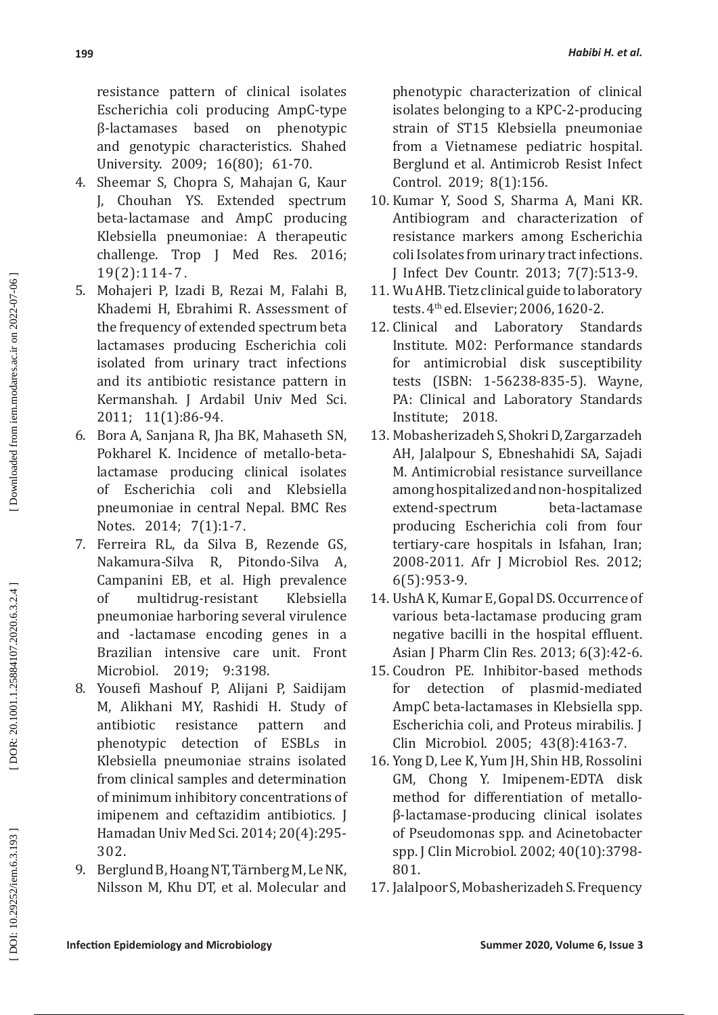resistance pattern of clinical isolates Escherichia coli producing AmpC-type β-lactamases based on phenotypic and genotypic characteristics. Shahed University. 2009; 16(80); 61-70.

- 4. Sheemar S, Chopra S, Mahajan G, Kaur J, Chouhan YS. Extended spectrum beta-lactamase and AmpC producing Klebsiella pneumoniae: A therapeutic challenge. Trop J Med Res. 2016; 19(2):114-7 .
- 5. Mohajeri P, Izadi B, Rezai M, Falahi B, Khademi H, Ebrahimi R. Assessment of the frequency of extended spectrum beta lactamases producing Escherichia coli isolated from urinary tract infections and its antibiotic resistance pattern in Kermanshah. J Ardabil Univ Med Sci. 2011; 11(1):86-94 .
- 6. Bora A, Sanjana R, Jha BK, Mahaseth SN, Pokharel K. Incidence of metallo-betalactamase producing clinical isolates of Escherichia coli and Klebsiella pneumoniae in central Nepal. BMC Res Notes. 2014; 7(1):1-7 .
- 7. Ferreira RL, da Silva B , Rezende GS, Nakamura-Silva R , Pitondo-Silva A, Campanini EB, et al. High prevalence of multidrug-resistant Klebsiella pneumoniae harboring several virulence and -lactamase encoding genes in a Brazilian intensive care unit. Front Microbiol. 2019; 9:3198.
- 8. Yousefi Mashouf P, Alijani P, Saidijam M, Alikhani MY, Rashidi H. Study of antibiotic resistance pattern and phenotypic detection of ESBLs in Klebsiella pneumoniae strains isolated from clinical samples and determination of minimum inhibitory concentrations of imipenem and ceftazidim antibiotics. J Hamadan Univ Med Sci. 2014; 20(4):295- 302.
- 9. Berglund B, Hoang NT, Tärnberg M, Le NK, Nilsson M, Khu DT, et al. Molecular and

phenotypic characterization of clinical isolates belonging to a KPC-2-producing strain of ST15 Klebsiella pneumoniae from a Vietnamese pediatric hospital. Berglund et al. Antimicrob Resist Infect Control. 2019; 8(1):156.

- 10. Kumar Y, Sood S, Sharma A, Mani KR. Antibiogram and characterization of resistance markers among Escherichia coli Isolates from urinary tract infections. J Infect Dev Countr. 2013; 7(7):513-9.
- 11. Wu AHB. Tietz clinical guide to laboratory tests. 4th ed. Elsevier; 2006, 1620-2.
- 12. Clinical and Laboratory Standards Institute. M02: Performance standards for antimicrobial disk susceptibility tests (ISBN: 1-56238-835-5). Wayne, PA: Clinical and Laboratory Standards Institute; 2018.
- 13. Mobasherizadeh S, Shokri D, Zargarzadeh AH, Jalalpour S , Ebneshahidi SA, Sajadi M. Antimicrobial resistance surveillance among hospitalized and non-hospitalized extend-spectrum producing Escherichia coli from four tertiary-care hospitals in Isfahan, Iran; 2008-2011. Afr J Microbiol Res. 2012; 6(5):953-9.
- 14. UshA K, Kumar E, Gopal DS. Occurrence of various beta-lactamase producing gram negative bacilli in the hospital effluent. Asian J Pharm Clin Res. 2013; 6(3):42-6.
- 15. Coudron PE. Inhibitor-based methods for detection of plasmid-mediated AmpC beta-lactamases in Klebsiella spp. Escherichia coli, and Proteus mirabilis. J Clin Microbiol. 2005; 43(8):4163-7.
- 16. Yong D, Lee K, Yum JH, Shin HB, Rossolini GM, Chong Y. Imipenem-EDTA disk method for differentiation of metalloβ-lactamase-producing clinical isolates of Pseudomonas spp. and Acinetobacter spp. J Clin Microbiol. 2002; 40(10):3798- 801.
- 17. Jalalpoor S, Mobasherizadeh S. Frequency